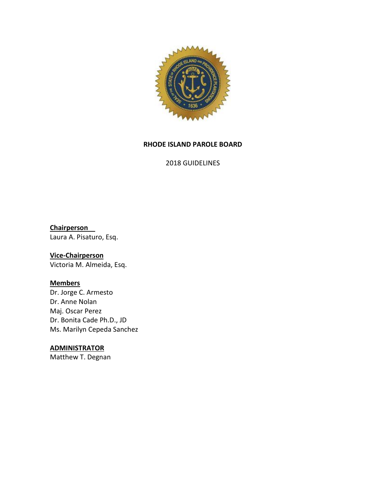

#### **RHODE ISLAND PAROLE BOARD**

2018 GUIDELINES

**Chairperson** Laura A. Pisaturo, Esq.

# **Vice-Chairperson**

Victoria M. Almeida, Esq.

# **Members**

Dr. Jorge C. Armesto Dr. Anne Nolan Maj. Oscar Perez Dr. Bonita Cade Ph.D., JD Ms. Marilyn Cepeda Sanchez

#### **ADMINISTRATOR**

Matthew T. Degnan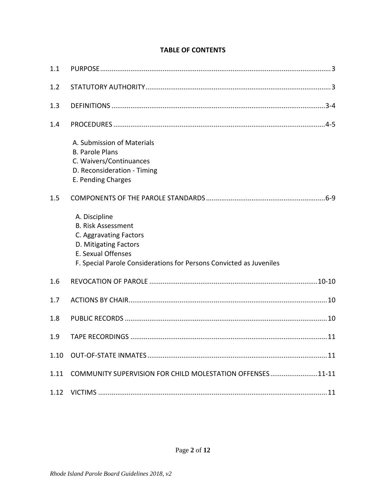| 1.1  |                                                                                                                                                                                            |
|------|--------------------------------------------------------------------------------------------------------------------------------------------------------------------------------------------|
| 1.2  |                                                                                                                                                                                            |
| 1.3  |                                                                                                                                                                                            |
| 1.4  |                                                                                                                                                                                            |
|      | A. Submission of Materials<br><b>B. Parole Plans</b><br>C. Waivers/Continuances<br>D. Reconsideration - Timing<br>E. Pending Charges                                                       |
| 1.5  |                                                                                                                                                                                            |
|      | A. Discipline<br><b>B. Risk Assessment</b><br>C. Aggravating Factors<br>D. Mitigating Factors<br>E. Sexual Offenses<br>F. Special Parole Considerations for Persons Convicted as Juveniles |
| 1.6  |                                                                                                                                                                                            |
| 1.7  |                                                                                                                                                                                            |
| 1.8  |                                                                                                                                                                                            |
| 1.9  |                                                                                                                                                                                            |
| 1.10 |                                                                                                                                                                                            |
| 1.11 | COMMUNITY SUPERVISION FOR CHILD MOLESTATION OFFENSES11-11                                                                                                                                  |
| 1.12 |                                                                                                                                                                                            |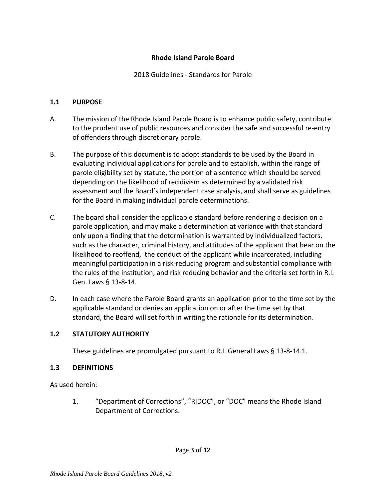## **Rhode Island Parole Board**

2018 Guidelines - Standards for Parole

#### <span id="page-2-0"></span>**1.1 PURPOSE**

- A. The mission of the Rhode Island Parole Board is to enhance public safety, contribute to the prudent use of public resources and consider the safe and successful re-entry of offenders through discretionary parole.
- B. The purpose of this document is to adopt standards to be used by the Board in evaluating individual applications for parole and to establish, within the range of parole eligibility set by statute, the portion of a sentence which should be served depending on the likelihood of recidivism as determined by a validated risk assessment and the Board's independent case analysis, and shall serve as guidelines for the Board in making individual parole determinations.
- C. The board shall consider the applicable standard before rendering a decision on a parole application, and may make a determination at variance with that standard only upon a finding that the determination is warranted by individualized factors, such as the character, criminal history, and attitudes of the applicant that bear on the likelihood to reoffend, the conduct of the applicant while incarcerated, including meaningful participation in a risk-reducing program and substantial compliance with the rules of the institution, and risk reducing behavior and the criteria set forth in R.I. Gen. Laws § 13-8-14.
- D. In each case where the Parole Board grants an application prior to the time set by the applicable standard or denies an application on or after the time set by that standard, the Board will set forth in writing the rationale for its determination.

## <span id="page-2-1"></span>**1.2 STATUTORY AUTHORITY**

These guidelines are promulgated pursuant to R.I. General Laws § 13-8-14.1.

#### <span id="page-2-2"></span>**1.3 DEFINITIONS**

As used herein:

1. "Department of Corrections", "RIDOC", or "DOC" means the Rhode Island Department of Corrections.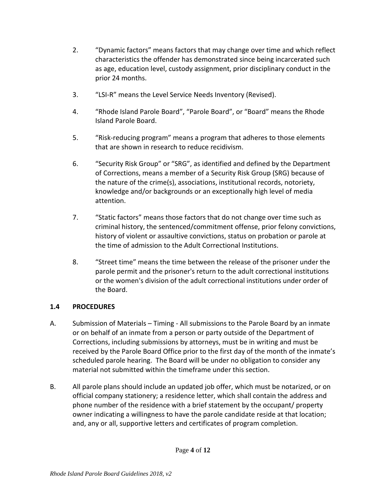- 2. "Dynamic factors" means factors that may change over time and which reflect characteristics the offender has demonstrated since being incarcerated such as age, education level, custody assignment, prior disciplinary conduct in the prior 24 months.
- 3. "LSI-R" means the Level Service Needs Inventory (Revised).
- 4. "Rhode Island Parole Board", "Parole Board", or "Board" means the Rhode Island Parole Board.
- 5. "Risk-reducing program" means a program that adheres to those elements that are shown in research to reduce recidivism.
- 6. "Security Risk Group" or "SRG", as identified and defined by the Department of Corrections, means a member of a Security Risk Group (SRG) because of the nature of the crime(s), associations, institutional records, notoriety, knowledge and/or backgrounds or an exceptionally high level of media attention.
- 7. "Static factors" means those factors that do not change over time such as criminal history, the sentenced/commitment offense, prior felony convictions, history of violent or assaultive convictions, status on probation or parole at the time of admission to the Adult Correctional Institutions.
- 8. "Street time" means the time between the release of the prisoner under the parole permit and the prisoner's return to the adult correctional institutions or the women's division of the adult correctional institutions under order of the Board.

# <span id="page-3-0"></span>**1.4 PROCEDURES**

- A. Submission of Materials Timing All submissions to the Parole Board by an inmate or on behalf of an inmate from a person or party outside of the Department of Corrections, including submissions by attorneys, must be in writing and must be received by the Parole Board Office prior to the first day of the month of the inmate's scheduled parole hearing. The Board will be under no obligation to consider any material not submitted within the timeframe under this section.
- B. All parole plans should include an updated job offer, which must be notarized, or on official company stationery; a residence letter, which shall contain the address and phone number of the residence with a brief statement by the occupant/ property owner indicating a willingness to have the parole candidate reside at that location; and, any or all, supportive letters and certificates of program completion.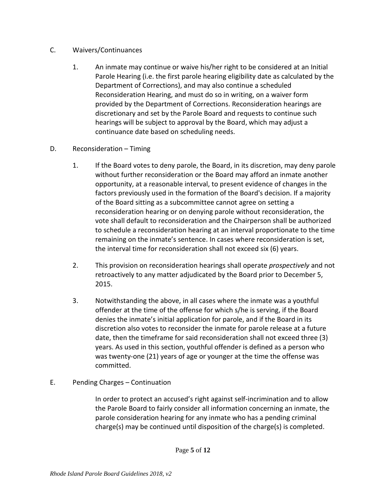## C. Waivers/Continuances

- 1. An inmate may continue or waive his/her right to be considered at an Initial Parole Hearing (i.e. the first parole hearing eligibility date as calculated by the Department of Corrections), and may also continue a scheduled Reconsideration Hearing, and must do so in writing, on a waiver form provided by the Department of Corrections. Reconsideration hearings are discretionary and set by the Parole Board and requests to continue such hearings will be subject to approval by the Board, which may adjust a continuance date based on scheduling needs.
- D. Reconsideration Timing
	- 1. If the Board votes to deny parole, the Board, in its discretion, may deny parole without further reconsideration or the Board may afford an inmate another opportunity, at a reasonable interval, to present evidence of changes in the factors previously used in the formation of the Board's decision. If a majority of the Board sitting as a subcommittee cannot agree on setting a reconsideration hearing or on denying parole without reconsideration, the vote shall default to reconsideration and the Chairperson shall be authorized to schedule a reconsideration hearing at an interval proportionate to the time remaining on the inmate's sentence. In cases where reconsideration is set, the interval time for reconsideration shall not exceed six (6) years.
	- 2. This provision on reconsideration hearings shall operate *prospectively* and not retroactively to any matter adjudicated by the Board prior to December 5, 2015.
	- 3. Notwithstanding the above, in all cases where the inmate was a youthful offender at the time of the offense for which s/he is serving, if the Board denies the inmate's initial application for parole, and if the Board in its discretion also votes to reconsider the inmate for parole release at a future date, then the timeframe for said reconsideration shall not exceed three (3) years. As used in this section, youthful offender is defined as a person who was twenty-one (21) years of age or younger at the time the offense was committed.
- E. Pending Charges Continuation

In order to protect an accused's right against self-incrimination and to allow the Parole Board to fairly consider all information concerning an inmate, the parole consideration hearing for any inmate who has a pending criminal charge(s) may be continued until disposition of the charge(s) is completed.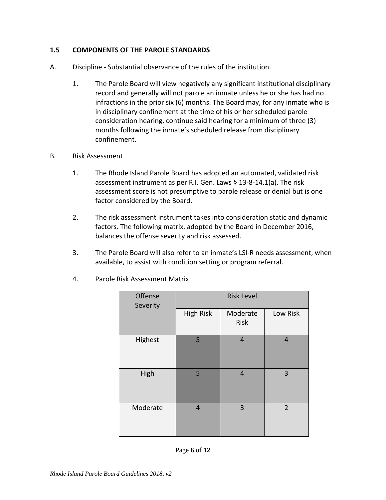## <span id="page-5-0"></span>**1.5 COMPONENTS OF THE PAROLE STANDARDS**

- A. Discipline Substantial observance of the rules of the institution.
	- 1. The Parole Board will view negatively any significant institutional disciplinary record and generally will not parole an inmate unless he or she has had no infractions in the prior six (6) months. The Board may, for any inmate who is in disciplinary confinement at the time of his or her scheduled parole consideration hearing, continue said hearing for a minimum of three (3) months following the inmate's scheduled release from disciplinary confinement.
- B. Risk Assessment
	- 1. The Rhode Island Parole Board has adopted an automated, validated risk assessment instrument as per R.I. Gen. Laws § 13-8-14.1(a). The risk assessment score is not presumptive to parole release or denial but is one factor considered by the Board.
	- 2. The risk assessment instrument takes into consideration static and dynamic factors. The following matrix, adopted by the Board in December 2016, balances the offense severity and risk assessed.
	- 3. The Parole Board will also refer to an inmate's LSI-R needs assessment, when available, to assist with condition setting or program referral.

| Offense<br>Severity | <b>Risk Level</b> |                  |                |  |
|---------------------|-------------------|------------------|----------------|--|
|                     | <b>High Risk</b>  | Moderate<br>Risk | Low Risk       |  |
| Highest             | 5                 | $\overline{4}$   | $\overline{4}$ |  |
| High                | 5                 | $\overline{4}$   | 3              |  |
| Moderate            | 4                 | 3                | $\overline{2}$ |  |

4. Parole Risk Assessment Matrix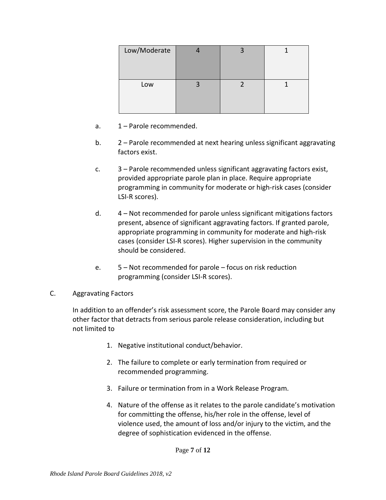| Low/Moderate |  |  |
|--------------|--|--|
| Low          |  |  |

- a. 1 Parole recommended.
- b. 2 Parole recommended at next hearing unless significant aggravating factors exist.
- c. 3 Parole recommended unless significant aggravating factors exist, provided appropriate parole plan in place. Require appropriate programming in community for moderate or high-risk cases (consider LSI-R scores).
- d. 4 Not recommended for parole unless significant mitigations factors present, absence of significant aggravating factors. If granted parole, appropriate programming in community for moderate and high-risk cases (consider LSI-R scores). Higher supervision in the community should be considered.
- e. 5 Not recommended for parole focus on risk reduction programming (consider LSI-R scores).
- C. Aggravating Factors

In addition to an offender's risk assessment score, the Parole Board may consider any other factor that detracts from serious parole release consideration, including but not limited to

- 1. Negative institutional conduct/behavior.
- 2. The failure to complete or early termination from required or recommended programming.
- 3. Failure or termination from in a Work Release Program.
- 4. Nature of the offense as it relates to the parole candidate's motivation for committing the offense, his/her role in the offense, level of violence used, the amount of loss and/or injury to the victim, and the degree of sophistication evidenced in the offense.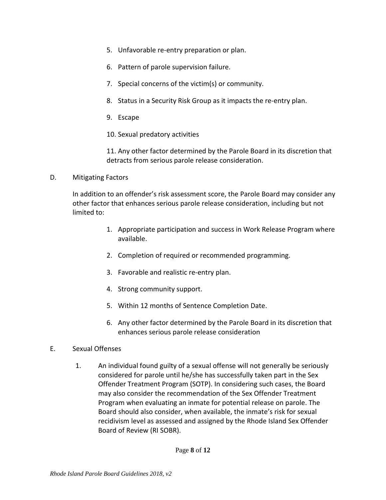- 5. Unfavorable re-entry preparation or plan.
- 6. Pattern of parole supervision failure.
- 7. Special concerns of the victim(s) or community.
- 8. Status in a Security Risk Group as it impacts the re-entry plan.
- 9. Escape
- 10. Sexual predatory activities

11. Any other factor determined by the Parole Board in its discretion that detracts from serious parole release consideration.

D. Mitigating Factors

In addition to an offender's risk assessment score, the Parole Board may consider any other factor that enhances serious parole release consideration, including but not limited to:

- 1. Appropriate participation and success in Work Release Program where available.
- 2. Completion of required or recommended programming.
- 3. Favorable and realistic re-entry plan.
- 4. Strong community support.
- 5. Within 12 months of Sentence Completion Date.
- 6. Any other factor determined by the Parole Board in its discretion that enhances serious parole release consideration
- E. Sexual Offenses
	- 1. An individual found guilty of a sexual offense will not generally be seriously considered for parole until he/she has successfully taken part in the Sex Offender Treatment Program (SOTP). In considering such cases, the Board may also consider the recommendation of the Sex Offender Treatment Program when evaluating an inmate for potential release on parole. The Board should also consider, when available, the inmate's risk for sexual recidivism level as assessed and assigned by the Rhode Island Sex Offender Board of Review (RI SOBR).

Page **8** of **12**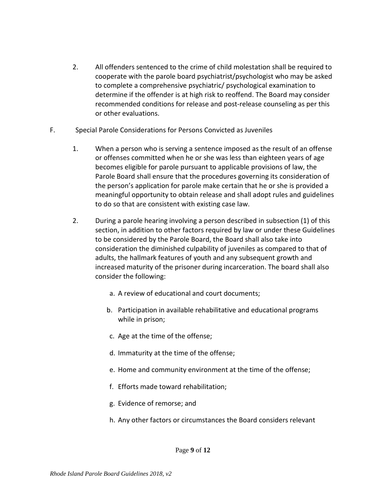- 2. All offenders sentenced to the crime of child molestation shall be required to cooperate with the parole board psychiatrist/psychologist who may be asked to complete a comprehensive psychiatric/ psychological examination to determine if the offender is at high risk to reoffend. The Board may consider recommended conditions for release and post-release counseling as per this or other evaluations.
- F. Special Parole Considerations for Persons Convicted as Juveniles
	- 1. When a person who is serving a sentence imposed as the result of an offense or offenses committed when he or she was less than eighteen years of age becomes eligible for parole pursuant to applicable provisions of law, the Parole Board shall ensure that the procedures governing its consideration of the person's application for parole make certain that he or she is provided a meaningful opportunity to obtain release and shall adopt rules and guidelines to do so that are consistent with existing case law.
	- 2. During a parole hearing involving a person described in subsection (1) of this section, in addition to other factors required by law or under these Guidelines to be considered by the Parole Board, the Board shall also take into consideration the diminished culpability of juveniles as compared to that of adults, the hallmark features of youth and any subsequent growth and increased maturity of the prisoner during incarceration. The board shall also consider the following:
		- a. A review of educational and court documents;
		- b. Participation in available rehabilitative and educational programs while in prison;
		- c. Age at the time of the offense;
		- d. Immaturity at the time of the offense;
		- e. Home and community environment at the time of the offense;
		- f. Efforts made toward rehabilitation;
		- g. Evidence of remorse; and
		- h. Any other factors or circumstances the Board considers relevant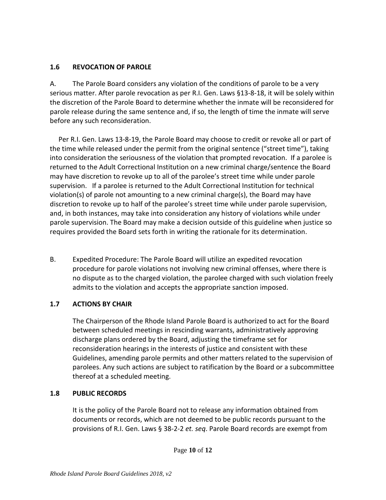# <span id="page-9-0"></span>**1.6 REVOCATION OF PAROLE**

A. The Parole Board considers any violation of the conditions of parole to be a very serious matter. After parole revocation as per R.I. Gen. Laws §13-8-18, it will be solely within the discretion of the Parole Board to determine whether the inmate will be reconsidered for parole release during the same sentence and, if so, the length of time the inmate will serve before any such reconsideration.

 Per R.I. Gen. Laws 13-8-19, the Parole Board may choose to credit or revoke all or part of the time while released under the permit from the original sentence ("street time"), taking into consideration the seriousness of the violation that prompted revocation. If a parolee is returned to the Adult Correctional Institution on a new criminal charge/sentence the Board may have discretion to revoke up to all of the parolee's street time while under parole supervision. If a parolee is returned to the Adult Correctional Institution for technical violation(s) of parole not amounting to a new criminal charge(s), the Board may have discretion to revoke up to half of the parolee's street time while under parole supervision, and, in both instances, may take into consideration any history of violations while under parole supervision. The Board may make a decision outside of this guideline when justice so requires provided the Board sets forth in writing the rationale for its determination.

B. Expedited Procedure: The Parole Board will utilize an expedited revocation procedure for parole violations not involving new criminal offenses, where there is no dispute as to the charged violation, the parolee charged with such violation freely admits to the violation and accepts the appropriate sanction imposed.

# <span id="page-9-1"></span>**1.7 ACTIONS BY CHAIR**

The Chairperson of the Rhode Island Parole Board is authorized to act for the Board between scheduled meetings in rescinding warrants, administratively approving discharge plans ordered by the Board, adjusting the timeframe set for reconsideration hearings in the interests of justice and consistent with these Guidelines, amending parole permits and other matters related to the supervision of parolees. Any such actions are subject to ratification by the Board or a subcommittee thereof at a scheduled meeting.

# <span id="page-9-2"></span>**1.8 PUBLIC RECORDS**

It is the policy of the Parole Board not to release any information obtained from documents or records, which are not deemed to be public records pursuant to the provisions of R.I. Gen. Laws § 38-2-2 *et. seq*. Parole Board records are exempt from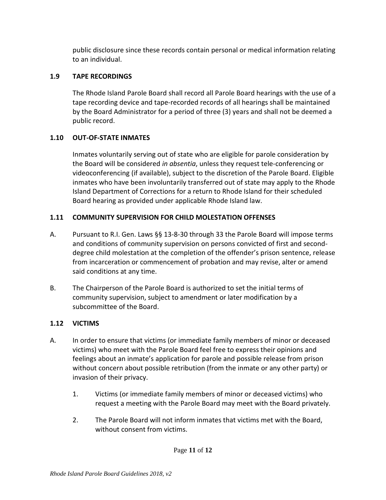public disclosure since these records contain personal or medical information relating to an individual.

# <span id="page-10-0"></span>**1.9 TAPE RECORDINGS**

The Rhode Island Parole Board shall record all Parole Board hearings with the use of a tape recording device and tape-recorded records of all hearings shall be maintained by the Board Administrator for a period of three (3) years and shall not be deemed a public record.

# <span id="page-10-1"></span>**1.10 OUT-OF-STATE INMATES**

Inmates voluntarily serving out of state who are eligible for parole consideration by the Board will be considered *in absentia*, unless they request tele-conferencing or videoconferencing (if available), subject to the discretion of the Parole Board. Eligible inmates who have been involuntarily transferred out of state may apply to the Rhode Island Department of Corrections for a return to Rhode Island for their scheduled Board hearing as provided under applicable Rhode Island law.

# <span id="page-10-2"></span>**1.11 COMMUNITY SUPERVISION FOR CHILD MOLESTATION OFFENSES**

- A. Pursuant to R.I. Gen. Laws §§ 13-8-30 through 33 the Parole Board will impose terms and conditions of community supervision on persons convicted of first and seconddegree child molestation at the completion of the offender's prison sentence, release from incarceration or commencement of probation and may revise, alter or amend said conditions at any time.
- B. The Chairperson of the Parole Board is authorized to set the initial terms of community supervision, subject to amendment or later modification by a subcommittee of the Board.

# <span id="page-10-3"></span>**1.12 VICTIMS**

- A. In order to ensure that victims (or immediate family members of minor or deceased victims) who meet with the Parole Board feel free to express their opinions and feelings about an inmate's application for parole and possible release from prison without concern about possible retribution (from the inmate or any other party) or invasion of their privacy.
	- 1. Victims (or immediate family members of minor or deceased victims) who request a meeting with the Parole Board may meet with the Board privately.
	- 2. The Parole Board will not inform inmates that victims met with the Board, without consent from victims.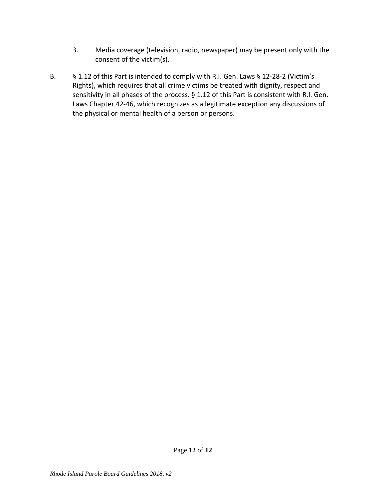- 3. Media coverage (television, radio, newspaper) may be present only with the consent of the victim(s).
- B. § 1.12 of this Part is intended to comply with R.I. Gen. Laws § 12-28-2 (Victim's Rights), which requires that all crime victims be treated with dignity, respect and sensitivity in all phases of the process. § 1.12 of this Part is consistent with R.I. Gen. Laws Chapter 42-46, which recognizes as a legitimate exception any discussions of the physical or mental health of a person or persons.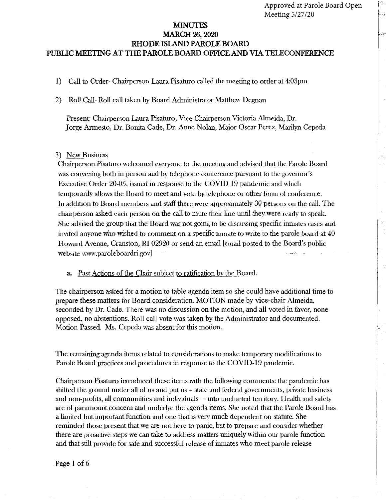- Call to Order-Chairperson Laura Pisaturo called the meeting to order at 4:03pm  $\left| \right|$
- $2)$ Roll Call-Roll call taken by Board Administrator Matthew Degnan

Present: Chairperson Laura Pisaturo, Vice-Chairperson Victoria Almeida, Dr. Jorge Armesto, Dr. Bonita Cade, Dr. Anne Nolan, Major Oscar Perez, Marilyn Cepeda

#### 3) New Business

Chairperson Pisaturo welcomed everyone to the meeting and advised that the Parole Board was convening both in person and by telephone conference pursuant to the governor's Executive Order 20-05, issued in response to the COVID-19 pandemic and which temporarily allows the Board to meet and vote by telephone or other form of conference. In addition to Board members and staff there were approximately 30 persons on the call. The chairperson asked each person on the call to mute their line until they were ready to speak. She advised the group that the Board was not going to be discussing specific inmates cases and invited anyone who wished to comment on a specific inmate to write to the parole board at 40 Howard Avenue, Cranston, RI 02920 or send an email [email posted to the Board's public website www.paroleboardri.gov]

Past Actions of the Chair subject to ratification by the Board.  $\mathbf{a}$ .

The chairperson asked for a motion to table agenda item so she could have additional time to prepare these matters for Board consideration. MOTION made by vice-chair Almeida, seconded by Dr. Cade. There was no discussion on the motion, and all voted in favor, none opposed, no abstentions. Roll call vote was taken by the Administrator and documented. Motion Passed. Ms. Cepeda was absent for this motion.

The remaining agenda items related to considerations to make temporary modifications to Parole Board practices and procedures in response to the COVID-19 pandemic.

Chairperson Pisaturo introduced these items with the following comments: the pandemic has shifted the ground under all of us and put us – state and federal governments, private business and non-profits, all communities and individuals - - into uncharted territory. Health and safety are of paramount concern and underlye the agenda items. She noted that the Parole Board has a limited but important function and one that is very much dependent on statute. She reminded those present that we are not here to panic, but to prepare and consider whether there are proactive steps we can take to address matters uniquely within our parole function and that still provide for safe and successful release of inmates who meet parole release

Page 1 of 6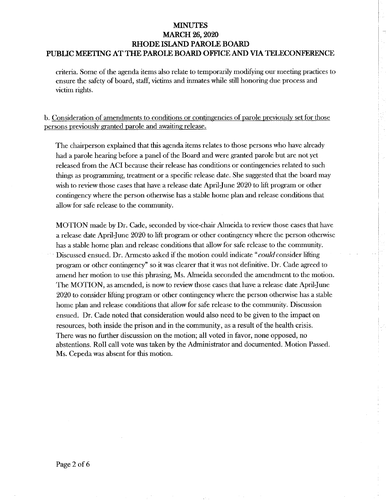criteria. Some of the agenda items also relate to temporarily modifying our meeting practices to ensure the safety of board, staff, victims and inmates while still honoring due process and victim rights.

b. Consideration of amendments to conditions or contingencies of parole previously set for those persons previously granted parole and awaiting release.

The chairperson explained that this agenda items relates to those persons who have already had a parole hearing before a panel of the Board and were granted parole but are not yet released from the ACI because their release has conditions or contingencies related to such things as programming, treatment or a specific release date. She suggested that the board may wish to review those cases that have a release date April-June 2020 to lift program or other contingency where the person otherwise has a stable home plan and release conditions that allow for safe release to the community.

MOTION made by Dr. Cade, seconded by vice-chair Almeida to review those cases that have a release date April-June 2020 to lift program or other contingency where the person otherwise has a stable home plan and release conditions that allow for safe release to the community. Discussed ensued. Dr. Armesto asked if the motion could indicate "could consider lifting" program or other contingency" so it was clearer that it was not definitive. Dr. Cade agreed to amend her motion to use this phrasing, Ms. Almeida seconded the amendment to the motion. The MOTION, as amended, is now to review those cases that have a release date April-June 2020 to consider lifting program or other contingency where the person otherwise has a stable home plan and release conditions that allow for safe release to the community. Discussion ensued. Dr. Cade noted that consideration would also need to be given to the impact on resources, both inside the prison and in the community, as a result of the health crisis. There was no further discussion on the motion; all voted in favor, none opposed, no abstentions. Roll call vote was taken by the Administrator and documented. Motion Passed. Ms. Cepeda was absent for this motion.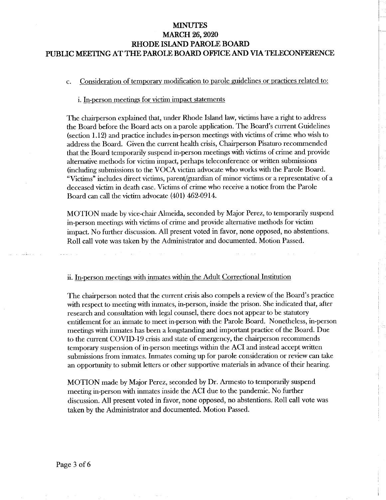#### Consideration of temporary modification to parole guidelines or practices related to:  $C_{\tau}$

#### i. In-person meetings for victim impact statements

The chairperson explained that, under Rhode Island law, victims have a right to address the Board before the Board acts on a parole application. The Board's current Guidelines (section 1.12) and practice includes in-person meetings with victims of crime who wish to address the Board. Given the current health crisis, Chairperson Pisaturo recommended that the Board temporarily suspend in-person meetings with victims of crime and provide alternative methods for victim impact, perhaps teleconference or written submissions (including submissions to the VOCA victim advocate who works with the Parole Board. "Victims" includes direct victims, parent/guardian of minor victims or a representative of a deceased victim in death case. Victims of crime who receive a notice from the Parole Board can call the victim advocate (401) 462-0914.

MOTION made by vice-chair Almeida, seconded by Major Perez, to temporarily suspend in-person meetings with victims of crime and provide alternative methods for victim impact. No further discussion. All present voted in favor, none opposed, no abstentions. Roll call vote was taken by the Administrator and documented. Motion Passed.

#### ii. In-person meetings with inmates within the Adult Correctional Institution

The chairperson noted that the current crisis also compels a review of the Board's practice with respect to meeting with inmates, in-person, inside the prison. She indicated that, after research and consultation with legal counsel, there does not appear to be statutory entitlement for an inmate to meet in-person with the Parole Board. Nonetheless, in-person meetings with inmates has been a longstanding and important practice of the Board. Due to the current COVID-19 crisis and state of emergency, the chairperson recommends temporary suspension of in-person meetings within the ACI and instead accept written submissions from inmates. Inmates coming up for parole consideration or review can take an opportunity to submit letters or other supportive materials in advance of their hearing.

MOTION made by Major Perez, seconded by Dr. Armesto to temporarily suspend meeting in-person with inmates inside the ACI due to the pandemic. No further discussion. All present voted in favor, none opposed, no abstentions. Roll call vote was taken by the Administrator and documented. Motion Passed.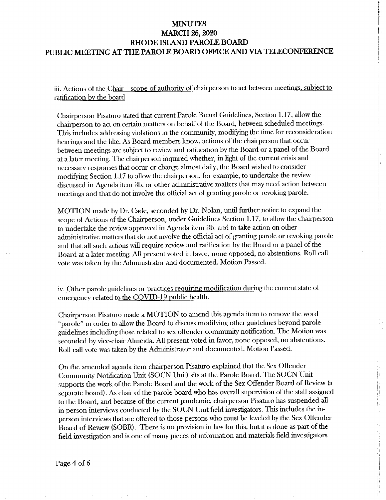iii. Actions of the Chair - scope of authority of chairperson to act between meetings, subject to ratification by the board

Chairperson Pisaturo stated that current Parole Board Guidelines, Section 1.17, allow the chairperson to act on certain matters on behalf of the Board, between scheduled meetings. This includes addressing violations in the community, modifying the time for reconsideration hearings and the like. As Board members know, actions of the chairperson that occur between meetings are subject to review and ratification by the Board or a panel of the Board at a later meeting. The chairperson inquired whether, in light of the current crisis and necessary responses that occur or change almost daily, the Board wished to consider modifying Section 1.17 to allow the chairperson, for example, to undertake the review discussed in Agenda item 3b. or other administrative matters that may need action between meetings and that do not involve the official act of granting parole or revoking parole.

MOTION made by Dr. Cade, seconded by Dr. Nolan, until further notice to expand the scope of Actions of the Chairperson, under Guidelines Section 1.17, to allow the chairperson to undertake the review approved in Agenda item 3b. and to take action on other administrative matters that do not involve the official act of granting parole or revoking parole and that all such actions will require review and ratification by the Board or a panel of the Board at a later meeting. All present voted in favor, none opposed, no abstentions. Roll call vote was taken by the Administrator and documented. Motion Passed.

iv. Other parole guidelines or practices requiring modification during the current state of emergency related to the COVID-19 public health.

Chairperson Pisaturo made a MOTION to amend this agenda item to remove the word "parole" in order to allow the Board to discuss modifying other guidelines beyond parole guidelines including those related to sex offender community notification. The Motion was seconded by vice-chair Almeida. All present voted in favor, none opposed, no abstentions. Roll call vote was taken by the Administrator and documented. Motion Passed.

On the amended agenda item chairperson Pisaturo explained that the Sex Offender Community Notification Unit (SOCN Unit) sits at the Parole Board. The SOCN Unit supports the work of the Parole Board and the work of the Sex Offender Board of Review (a separate board). As chair of the parole board who has overall supervision of the staff assigned to the Board, and because of the current pandemic, chairperson Pisaturo has suspended all in-person interviews conducted by the SOCN Unit field investigators. This includes the inperson interviews that are offered to those persons who must be leveled by the Sex Offender Board of Review (SOBR). There is no provision in law for this, but it is done as part of the field investigation and is one of many pieces of information and materials field investigators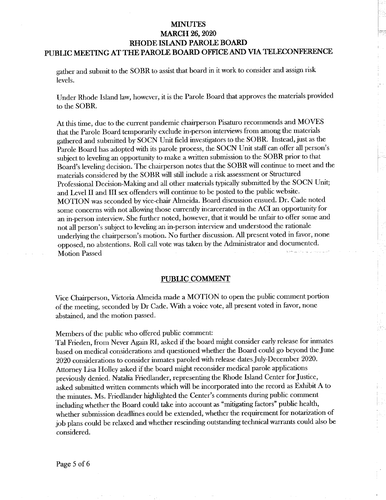gather and submit to the SOBR to assist that board in it work to consider and assign risk levels.

Under Rhode Island law, however, it is the Parole Board that approves the materials provided to the SOBR.

At this time, due to the current pandemic chairperson Pisaturo recommends and MOVES that the Parole Board temporarily exclude in-person interviews from among the materials gathered and submitted by SOCN Unit field investigators to the SOBR. Instead, just as the Parole Board has adopted with its parole process, the SOCN Unit staff can offer all person's subject to leveling an opportunity to make a written submission to the SOBR prior to that Board's leveling decision. The chairperson notes that the SOBR will continue to meet and the materials considered by the SOBR will still include a risk assessment or Structured Professional Decision-Making and all other materials typically submitted by the SOCN Unit; and Level II and III sex offenders will continue to be posted to the public website. MOTION was seconded by vice-chair Almeida. Board discussion ensued. Dr. Cade noted some concerns with not allowing those currently incarcerated in the ACI an opportunity for an in-person interview. She further noted, however, that it would be unfair to offer some and not all person's subject to leveling an in-person interview and understood the rationale underlying the chairperson's motion. No further discussion. All present voted in favor, none opposed, no abstentions. Roll call vote was taken by the Administrator and documented. **Motion Passed** 

#### PUBLIC COMMENT

Vice Chairperson, Victoria Almeida made a MOTION to open the public comment portion of the meeting, seconded by Dr Cade. With a voice vote, all present voted in favor, none abstained, and the motion passed.

Members of the public who offered public comment:

Tal Frieden, from Never Again RI, asked if the board might consider early release for inmates based on medical considerations and questioned whether the Board could go beyond the June 2020 considerations to consider inmates paroled with release dates July-December 2020. Attorney Lisa Holley asked if the board might reconsider medical parole applications previously denied. Natalia Friedlander, representing the Rhode Island Center for Justice, asked submitted written comments which will be incorporated into the record as Exhibit A to the minutes. Ms. Friedlander highlighted the Center's comments during public comment including whether the Board could take into account as "mitigating factors" public health, whether submission deadlines could be extended, whether the requirement for notarization of job plans could be relaxed and whether rescinding outstanding technical warrants could also be considered.